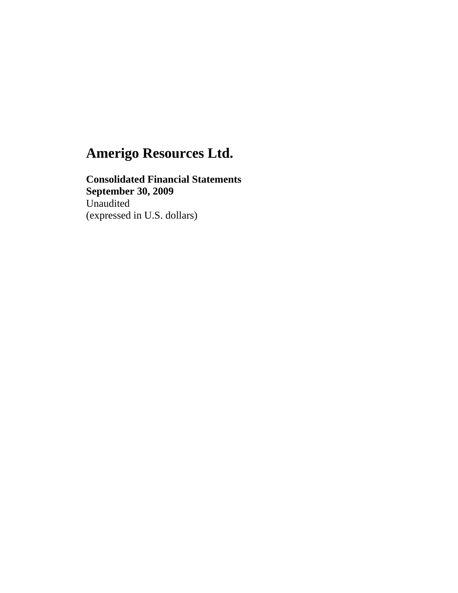**Consolidated Financial Statements September 30, 2009**  Unaudited (expressed in U.S. dollars)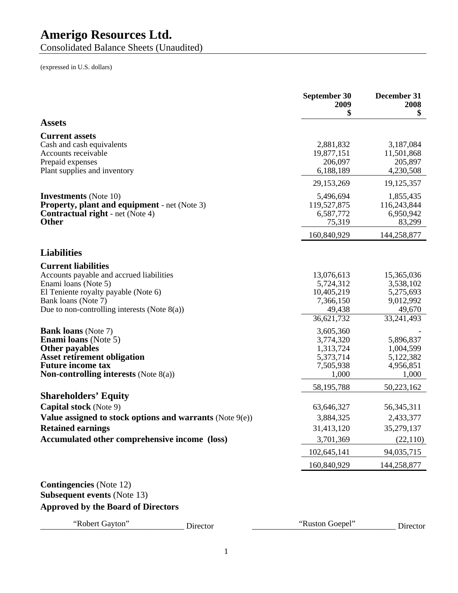Consolidated Balance Sheets (Unaudited)

(expressed in U.S. dollars)

| <b>Assets</b><br><b>Current assets</b><br>Cash and cash equivalents<br>2,881,832<br>Accounts receivable<br>19,877,151<br>Prepaid expenses<br>206,097<br>6,188,189<br>Plant supplies and inventory<br>29,153,269<br><b>Investments</b> (Note 10)<br>5,496,694<br><b>Property, plant and equipment</b> - net (Note 3)<br>119,527,875<br><b>Contractual right</b> - net (Note 4)<br>6,587,772<br><b>Other</b><br>75,319<br>160,840,929<br><b>Current liabilities</b><br>Accounts payable and accrued liabilities<br>13,076,613<br>Enami loans (Note 5)<br>5,724,312<br>El Teniente royalty payable (Note 6)<br>10,405,219<br>Bank loans (Note 7)<br>7,366,150<br>Due to non-controlling interests (Note $8(a)$ )<br>49,438<br>33,241,493<br>36,621,732<br><b>Bank loans</b> (Note 7)<br>3,605,360<br><b>Enami loans</b> (Note 5)<br>3,774,320<br><b>Other payables</b><br>1,313,724<br><b>Asset retirement obligation</b><br>5,373,714<br><b>Future income tax</b><br>7,505,938<br><b>Non-controlling interests</b> (Note $8(a)$ )<br>1,000<br>58,195,788<br><b>Shareholders' Equity</b><br><b>Capital stock</b> (Note 9)<br>63,646,327<br>Value assigned to stock options and warrants (Note 9(e))<br>3,884,325<br><b>Retained earnings</b><br>31,413,120<br>Accumulated other comprehensive income (loss)<br>3,701,369<br>102,645,141<br>94,035,715<br>160,840,929<br><b>Contingencies</b> (Note 12)<br><b>Subsequent events (Note 13)</b><br><b>Approved by the Board of Directors</b> |                             | September 30<br>2009<br>\$ | December 31<br>2008<br>\$                                   |
|----------------------------------------------------------------------------------------------------------------------------------------------------------------------------------------------------------------------------------------------------------------------------------------------------------------------------------------------------------------------------------------------------------------------------------------------------------------------------------------------------------------------------------------------------------------------------------------------------------------------------------------------------------------------------------------------------------------------------------------------------------------------------------------------------------------------------------------------------------------------------------------------------------------------------------------------------------------------------------------------------------------------------------------------------------------------------------------------------------------------------------------------------------------------------------------------------------------------------------------------------------------------------------------------------------------------------------------------------------------------------------------------------------------------------------------------------------------------------------------|-----------------------------|----------------------------|-------------------------------------------------------------|
|                                                                                                                                                                                                                                                                                                                                                                                                                                                                                                                                                                                                                                                                                                                                                                                                                                                                                                                                                                                                                                                                                                                                                                                                                                                                                                                                                                                                                                                                                        |                             |                            |                                                             |
| <b>Liabilities</b>                                                                                                                                                                                                                                                                                                                                                                                                                                                                                                                                                                                                                                                                                                                                                                                                                                                                                                                                                                                                                                                                                                                                                                                                                                                                                                                                                                                                                                                                     |                             |                            | 3,187,084<br>11,501,868<br>205,897<br>4,230,508             |
|                                                                                                                                                                                                                                                                                                                                                                                                                                                                                                                                                                                                                                                                                                                                                                                                                                                                                                                                                                                                                                                                                                                                                                                                                                                                                                                                                                                                                                                                                        |                             |                            | 19,125,357                                                  |
|                                                                                                                                                                                                                                                                                                                                                                                                                                                                                                                                                                                                                                                                                                                                                                                                                                                                                                                                                                                                                                                                                                                                                                                                                                                                                                                                                                                                                                                                                        |                             |                            | 1,855,435<br>116,243,844<br>6,950,942<br>83,299             |
|                                                                                                                                                                                                                                                                                                                                                                                                                                                                                                                                                                                                                                                                                                                                                                                                                                                                                                                                                                                                                                                                                                                                                                                                                                                                                                                                                                                                                                                                                        |                             |                            | 144,258,877                                                 |
|                                                                                                                                                                                                                                                                                                                                                                                                                                                                                                                                                                                                                                                                                                                                                                                                                                                                                                                                                                                                                                                                                                                                                                                                                                                                                                                                                                                                                                                                                        |                             |                            |                                                             |
|                                                                                                                                                                                                                                                                                                                                                                                                                                                                                                                                                                                                                                                                                                                                                                                                                                                                                                                                                                                                                                                                                                                                                                                                                                                                                                                                                                                                                                                                                        |                             |                            | 15,365,036<br>3,538,102<br>5,275,693<br>9,012,992<br>49,670 |
|                                                                                                                                                                                                                                                                                                                                                                                                                                                                                                                                                                                                                                                                                                                                                                                                                                                                                                                                                                                                                                                                                                                                                                                                                                                                                                                                                                                                                                                                                        |                             |                            | 5,896,837<br>1,004,599<br>5,122,382<br>4,956,851<br>1,000   |
|                                                                                                                                                                                                                                                                                                                                                                                                                                                                                                                                                                                                                                                                                                                                                                                                                                                                                                                                                                                                                                                                                                                                                                                                                                                                                                                                                                                                                                                                                        |                             |                            | 50,223,162                                                  |
|                                                                                                                                                                                                                                                                                                                                                                                                                                                                                                                                                                                                                                                                                                                                                                                                                                                                                                                                                                                                                                                                                                                                                                                                                                                                                                                                                                                                                                                                                        |                             |                            | 56, 345, 311<br>2,433,377<br>35,279,137<br>(22,110)         |
|                                                                                                                                                                                                                                                                                                                                                                                                                                                                                                                                                                                                                                                                                                                                                                                                                                                                                                                                                                                                                                                                                                                                                                                                                                                                                                                                                                                                                                                                                        |                             |                            |                                                             |
|                                                                                                                                                                                                                                                                                                                                                                                                                                                                                                                                                                                                                                                                                                                                                                                                                                                                                                                                                                                                                                                                                                                                                                                                                                                                                                                                                                                                                                                                                        |                             |                            | 144,258,877                                                 |
|                                                                                                                                                                                                                                                                                                                                                                                                                                                                                                                                                                                                                                                                                                                                                                                                                                                                                                                                                                                                                                                                                                                                                                                                                                                                                                                                                                                                                                                                                        | "Robert Gayton"<br>Director | "Ruston Goepel"            | Director                                                    |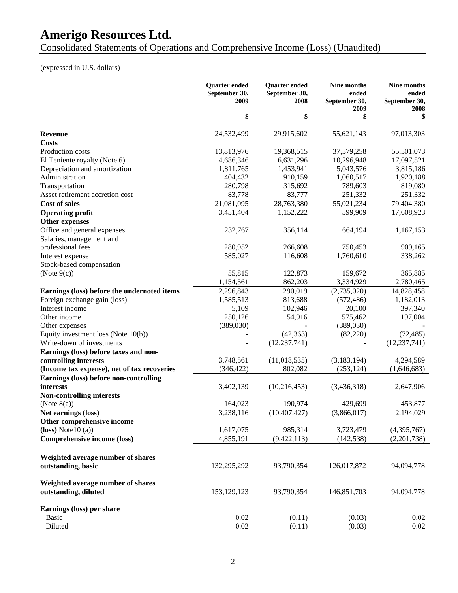Consolidated Statements of Operations and Comprehensive Income (Loss) (Unaudited)

# (expressed in U.S. dollars)

|                                                           | <b>Quarter</b> ended<br>September 30,<br>2009 | <b>Quarter</b> ended<br>September 30,<br>2008 | Nine months<br>ended<br>September 30,<br>2009 | Nine months<br>ended<br>September 30,<br>2008 |
|-----------------------------------------------------------|-----------------------------------------------|-----------------------------------------------|-----------------------------------------------|-----------------------------------------------|
|                                                           | \$                                            | \$                                            | \$                                            | \$                                            |
| <b>Revenue</b>                                            | 24,532,499                                    | 29,915,602                                    | 55,621,143                                    | 97,013,303                                    |
| <b>Costs</b>                                              |                                               |                                               |                                               |                                               |
| Production costs                                          | 13,813,976                                    | 19,368,515                                    | 37,579,258                                    | 55,501,073                                    |
| El Teniente royalty (Note 6)                              | 4,686,346                                     | 6,631,296                                     | 10,296,948                                    | 17,097,521                                    |
| Depreciation and amortization                             | 1,811,765                                     | 1,453,941                                     | 5,043,576                                     | 3,815,186                                     |
| Administration                                            | 404,432                                       | 910,159                                       | 1,060,517                                     | 1,920,188                                     |
| Transportation                                            | 280,798                                       | 315,692                                       | 789,603                                       | 819,080                                       |
| Asset retirement accretion cost                           | 83,778                                        | 83,777                                        | 251,332                                       | 251,332                                       |
| <b>Cost of sales</b>                                      | 21,081,095                                    | 28,763,380                                    | 55,021,234                                    | 79,404,380                                    |
| <b>Operating profit</b>                                   | 3,451,404                                     | 1,152,222                                     | 599,909                                       | 17,608,923                                    |
| Other expenses                                            |                                               |                                               |                                               |                                               |
| Office and general expenses                               | 232,767                                       | 356,114                                       | 664,194                                       | 1,167,153                                     |
| Salaries, management and                                  |                                               |                                               |                                               |                                               |
| professional fees                                         | 280,952                                       | 266,608                                       | 750,453                                       | 909,165                                       |
| Interest expense                                          | 585,027                                       | 116,608                                       | 1,760,610                                     | 338,262                                       |
| Stock-based compensation                                  |                                               |                                               |                                               |                                               |
| (Note $9(c)$ )                                            | 55,815                                        | 122,873                                       | 159,672                                       | 365,885                                       |
|                                                           | 1,154,561                                     | 862,203                                       | 3,334,929                                     | 2,780,465                                     |
| Earnings (loss) before the undernoted items               | 2,296,843                                     | 290,019                                       | (2,735,020)                                   | 14,828,458                                    |
| Foreign exchange gain (loss)                              | 1,585,513                                     | 813,688                                       | (572, 486)                                    | 1,182,013                                     |
| Interest income                                           | 5,109                                         | 102,946                                       | 20,100                                        | 397,340                                       |
| Other income                                              | 250,126                                       | 54,916                                        | 575,462                                       | 197,004                                       |
| Other expenses                                            | (389,030)                                     |                                               | (389,030)                                     |                                               |
| Equity investment loss (Note 10(b))                       |                                               | (42, 363)                                     | (82, 220)                                     | (72, 485)                                     |
| Write-down of investments                                 |                                               | (12, 237, 741)                                |                                               | (12, 237, 741)                                |
| Earnings (loss) before taxes and non-                     |                                               |                                               |                                               |                                               |
| controlling interests                                     | 3,748,561                                     | (11,018,535)                                  | (3,183,194)                                   | 4,294,589                                     |
| (Income tax expense), net of tax recoveries               | (346, 422)                                    | 802,082                                       | (253, 124)                                    | (1,646,683)                                   |
| Earnings (loss) before non-controlling                    |                                               |                                               |                                               |                                               |
| interests                                                 | 3,402,139                                     | (10,216,453)                                  | (3,436,318)                                   | 2,647,906                                     |
| <b>Non-controlling interests</b>                          |                                               |                                               |                                               |                                               |
| (Note $8(a)$ )                                            | 164,023                                       | 190,974                                       | 429,699                                       | 453,877                                       |
| Net earnings (loss)                                       | 3,238,116                                     | (10, 407, 427)                                | (3,866,017)                                   | 2,194,029                                     |
| Other comprehensive income                                |                                               |                                               |                                               |                                               |
| $(loss) Note 10 (a)$                                      | 1,617,075                                     | 985,314                                       | 3,723,479                                     | (4,395,767)                                   |
| <b>Comprehensive income (loss)</b>                        | 4,855,191                                     | (9,422,113)                                   | (142, 538)                                    | (2,201,738)                                   |
|                                                           |                                               |                                               |                                               |                                               |
| Weighted average number of shares                         |                                               |                                               |                                               |                                               |
| outstanding, basic                                        | 132,295,292                                   | 93,790,354                                    | 126,017,872                                   | 94,094,778                                    |
| Weighted average number of shares<br>outstanding, diluted | 153, 129, 123                                 | 93,790,354                                    | 146,851,703                                   | 94,094,778                                    |
| Earnings (loss) per share                                 |                                               |                                               |                                               |                                               |
| <b>Basic</b>                                              | 0.02                                          | (0.11)                                        | (0.03)                                        | 0.02                                          |
| Diluted                                                   | 0.02                                          | (0.11)                                        | (0.03)                                        | 0.02                                          |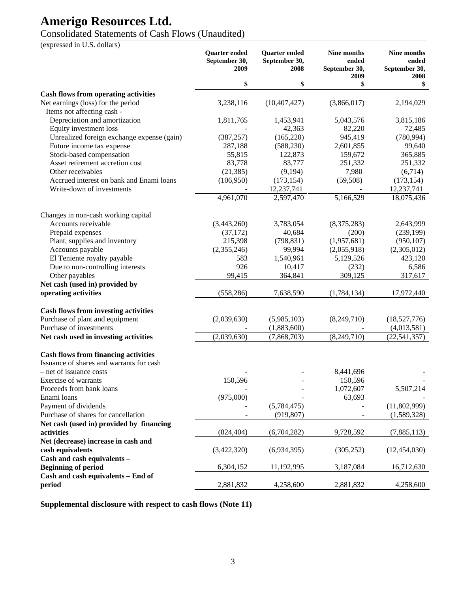# Consolidated Statements of Cash Flows (Unaudited)

(expressed in U.S. dollars)

|                                                                  | <b>Quarter</b> ended<br>September 30,<br>2009 | <b>Quarter</b> ended<br>September 30,<br>2008 | Nine months<br>ended<br>September 30,<br>2009 | Nine months<br>ended<br>September 30,<br>2008 |
|------------------------------------------------------------------|-----------------------------------------------|-----------------------------------------------|-----------------------------------------------|-----------------------------------------------|
|                                                                  | \$                                            | \$                                            | \$                                            | \$                                            |
| <b>Cash flows from operating activities</b>                      |                                               |                                               |                                               |                                               |
| Net earnings (loss) for the period<br>Items not affecting cash - | 3,238,116                                     | (10, 407, 427)                                | (3,866,017)                                   | 2,194,029                                     |
| Depreciation and amortization                                    | 1,811,765                                     | 1,453,941                                     | 5,043,576                                     | 3,815,186                                     |
| Equity investment loss                                           |                                               | 42,363                                        | 82,220                                        | 72,485                                        |
| Unrealized foreign exchange expense (gain)                       | (387, 257)                                    | (165, 220)                                    | 945,419                                       | (780, 994)                                    |
| Future income tax expense                                        | 287,188                                       | (588, 230)                                    | 2,601,855                                     | 99,640                                        |
| Stock-based compensation                                         | 55,815                                        | 122,873                                       | 159,672                                       | 365,885                                       |
| Asset retirement accretion cost                                  | 83,778                                        | 83,777                                        | 251,332                                       | 251,332                                       |
| Other receivables                                                | (21, 385)                                     | (9,194)                                       | 7,980                                         | (6,714)                                       |
| Accrued interest on bank and Enami loans                         | (106,950)                                     | (173, 154)                                    | (59, 508)                                     | (173, 154)                                    |
| Write-down of investments                                        |                                               | 12,237,741                                    |                                               | 12,237,741                                    |
|                                                                  | 4,961,070                                     | 2,597,470                                     | 5,166,529                                     | 18,075,436                                    |
| Changes in non-cash working capital                              |                                               |                                               |                                               |                                               |
| Accounts receivable                                              | (3,443,260)                                   | 3,783,054                                     | (8,375,283)                                   | 2,643,999                                     |
| Prepaid expenses                                                 | (37, 172)                                     | 40,684                                        | (200)                                         | (239, 199)                                    |
| Plant, supplies and inventory                                    | 215,398                                       | (798, 831)                                    | (1,957,681)                                   | (950, 107)                                    |
| Accounts payable                                                 | (2,355,246)                                   | 99,994                                        | (2,055,918)                                   | (2,305,012)                                   |
| El Teniente royalty payable                                      | 583                                           | 1,540,961                                     | 5,129,526                                     | 423,120                                       |
| Due to non-controlling interests                                 | 926                                           | 10,417                                        | (232)                                         | 6,586                                         |
| Other payables                                                   | 99,415                                        | 364,841                                       | 309,125                                       | 317,617                                       |
| Net cash (used in) provided by                                   |                                               |                                               |                                               |                                               |
| operating activities                                             | (558, 286)                                    | 7,638,590                                     | (1,784,134)                                   | 17,972,440                                    |
| <b>Cash flows from investing activities</b>                      |                                               |                                               |                                               |                                               |
| Purchase of plant and equipment                                  | (2,039,630)                                   | (5,985,103)                                   | (8,249,710)                                   | (18,527,776)                                  |
| Purchase of investments                                          |                                               | (1,883,600)                                   |                                               | (4,013,581)                                   |
| Net cash used in investing activities                            | (2,039,630)                                   | (7,868,703)                                   | (8,249,710)                                   | (22, 541, 357)                                |
| <b>Cash flows from financing activities</b>                      |                                               |                                               |                                               |                                               |
| Issuance of shares and warrants for cash                         |                                               |                                               |                                               |                                               |
| - net of issuance costs                                          |                                               |                                               | 8,441,696                                     |                                               |
| Exercise of warrants                                             | 150,596                                       |                                               | 150,596                                       |                                               |
| Proceeds from bank loans                                         |                                               |                                               | 1,072,607                                     | 5,507,214                                     |
| Enami loans                                                      | (975,000)                                     |                                               | 63,693                                        |                                               |
| Payment of dividends                                             |                                               | (5,784,475)                                   |                                               | (11,802,999)                                  |
| Purchase of shares for cancellation                              |                                               | (919, 807)                                    |                                               | (1,589,328)                                   |
| Net cash (used in) provided by financing                         |                                               |                                               |                                               |                                               |
| activities                                                       | (824, 404)                                    | (6,704,282)                                   | 9,728,592                                     | (7,885,113)                                   |
| Net (decrease) increase in cash and                              |                                               |                                               |                                               |                                               |
| cash equivalents                                                 | (3,422,320)                                   | (6,934,395)                                   | (305, 252)                                    | (12, 454, 030)                                |
| Cash and cash equivalents -                                      |                                               |                                               |                                               |                                               |
| <b>Beginning of period</b>                                       | 6,304,152                                     | 11,192,995                                    | 3,187,084                                     | 16,712,630                                    |
| Cash and cash equivalents - End of                               |                                               |                                               |                                               |                                               |
| period                                                           | 2,881,832                                     | 4,258,600                                     | 2,881,832                                     | 4,258,600                                     |

**Supplemental disclosure with respect to cash flows (Note 11)**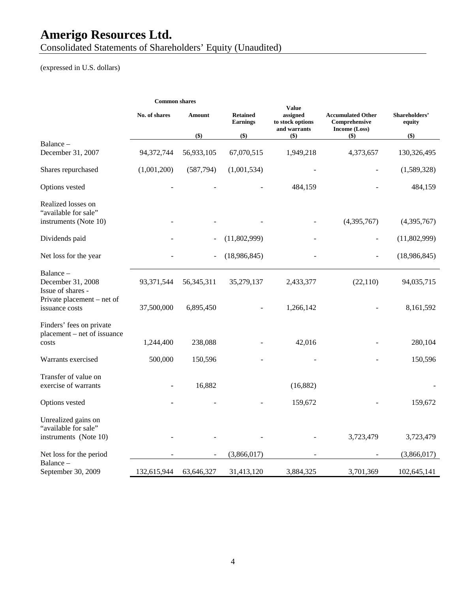Consolidated Statements of Shareholders' Equity (Unaudited)

# (expressed in U.S. dollars)

|                                                                      | <b>Common shares</b> |               |                                    |                                                              |                                                            |                         |
|----------------------------------------------------------------------|----------------------|---------------|------------------------------------|--------------------------------------------------------------|------------------------------------------------------------|-------------------------|
|                                                                      | No. of shares        | <b>Amount</b> | <b>Retained</b><br><b>Earnings</b> | <b>Value</b><br>assigned<br>to stock options<br>and warrants | <b>Accumulated Other</b><br>Comprehensive<br>Income (Loss) | Shareholders'<br>equity |
| Balance -                                                            |                      | $($ \$)       | $($ \$)                            | $($ \$)                                                      | $($ \$)                                                    | $($ \$)                 |
| December 31, 2007                                                    | 94,372,744           | 56,933,105    | 67,070,515                         | 1,949,218                                                    | 4,373,657                                                  | 130,326,495             |
| Shares repurchased                                                   | (1,001,200)          | (587,794)     | (1,001,534)                        |                                                              |                                                            | (1,589,328)             |
| Options vested                                                       |                      |               |                                    | 484,159                                                      |                                                            | 484,159                 |
| Realized losses on<br>"available for sale"<br>instruments (Note 10)  |                      |               |                                    |                                                              | (4,395,767)                                                | (4,395,767)             |
| Dividends paid                                                       |                      |               | (11,802,999)                       |                                                              |                                                            | (11,802,999)            |
| Net loss for the year                                                |                      |               | (18,986,845)                       |                                                              |                                                            | (18,986,845)            |
| Balance -<br>December 31, 2008<br>Issue of shares -                  | 93,371,544           | 56, 345, 311  | 35,279,137                         | 2,433,377                                                    | (22,110)                                                   | 94,035,715              |
| Private placement - net of<br>issuance costs                         | 37,500,000           | 6,895,450     |                                    | 1,266,142                                                    |                                                            | 8,161,592               |
| Finders' fees on private<br>placement – net of issuance<br>costs     | 1,244,400            | 238,088       |                                    | 42,016                                                       |                                                            | 280,104                 |
| Warrants exercised                                                   | 500,000              | 150,596       |                                    |                                                              |                                                            | 150,596                 |
| Transfer of value on<br>exercise of warrants                         |                      | 16,882        |                                    | (16,882)                                                     |                                                            |                         |
| Options vested                                                       |                      |               |                                    | 159,672                                                      |                                                            | 159,672                 |
| Unrealized gains on<br>"available for sale"<br>instruments (Note 10) |                      |               |                                    |                                                              | 3,723,479                                                  | 3,723,479               |
| Net loss for the period                                              |                      |               | (3,866,017)                        |                                                              |                                                            | (3,866,017)             |
| Balance –<br>September 30, 2009                                      | 132,615,944          | 63,646,327    | 31,413,120                         | 3,884,325                                                    | 3,701,369                                                  | 102,645,141             |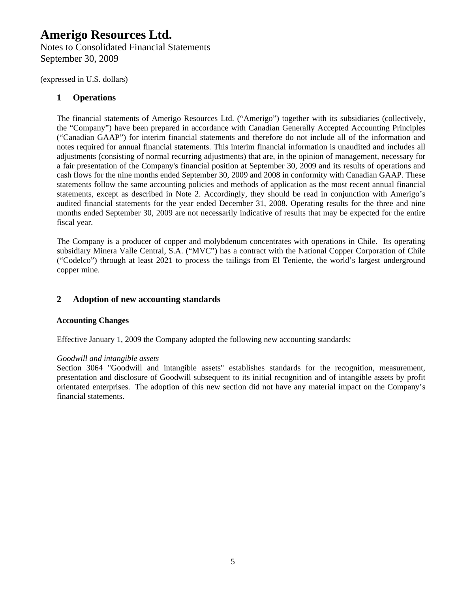Notes to Consolidated Financial Statements September 30, 2009

(expressed in U.S. dollars)

### **1 Operations**

The financial statements of Amerigo Resources Ltd. ("Amerigo") together with its subsidiaries (collectively, the "Company") have been prepared in accordance with Canadian Generally Accepted Accounting Principles ("Canadian GAAP") for interim financial statements and therefore do not include all of the information and notes required for annual financial statements. This interim financial information is unaudited and includes all adjustments (consisting of normal recurring adjustments) that are, in the opinion of management, necessary for a fair presentation of the Company's financial position at September 30, 2009 and its results of operations and cash flows for the nine months ended September 30, 2009 and 2008 in conformity with Canadian GAAP. These statements follow the same accounting policies and methods of application as the most recent annual financial statements, except as described in Note 2. Accordingly, they should be read in conjunction with Amerigo's audited financial statements for the year ended December 31, 2008. Operating results for the three and nine months ended September 30, 2009 are not necessarily indicative of results that may be expected for the entire fiscal year.

The Company is a producer of copper and molybdenum concentrates with operations in Chile. Its operating subsidiary Minera Valle Central, S.A. ("MVC") has a contract with the National Copper Corporation of Chile ("Codelco") through at least 2021 to process the tailings from El Teniente, the world's largest underground copper mine.

## **2 Adoption of new accounting standards**

### **Accounting Changes**

Effective January 1, 2009 the Company adopted the following new accounting standards:

#### *Goodwill and intangible assets*

Section 3064 "Goodwill and intangible assets" establishes standards for the recognition, measurement, presentation and disclosure of Goodwill subsequent to its initial recognition and of intangible assets by profit orientated enterprises. The adoption of this new section did not have any material impact on the Company's financial statements.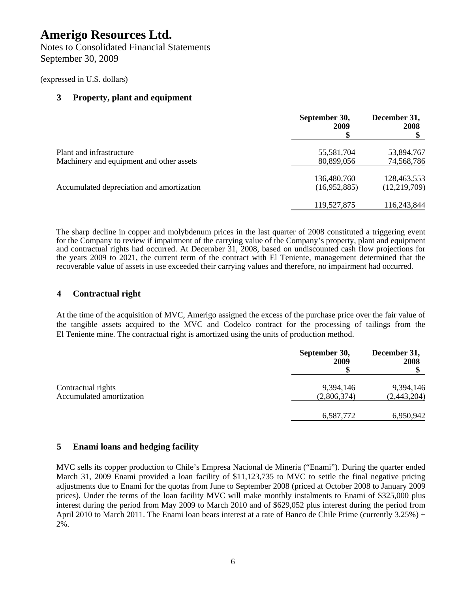Notes to Consolidated Financial Statements September 30, 2009

(expressed in U.S. dollars)

#### **3 Property, plant and equipment**

|                                                                      | September 30,<br>2009       | December 31,<br>2008          |
|----------------------------------------------------------------------|-----------------------------|-------------------------------|
| Plant and infrastructure<br>Machinery and equipment and other assets | 55,581,704<br>80,899,056    | 53,894,767<br>74,568,786      |
| Accumulated depreciation and amortization                            | 136,480,760<br>(16,952,885) | 128,463,553<br>(12, 219, 709) |
|                                                                      | 119,527,875                 | 116,243,844                   |

The sharp decline in copper and molybdenum prices in the last quarter of 2008 constituted a triggering event for the Company to review if impairment of the carrying value of the Company's property, plant and equipment and contractual rights had occurred. At December 31, 2008, based on undiscounted cash flow projections for the years 2009 to 2021, the current term of the contract with El Teniente, management determined that the recoverable value of assets in use exceeded their carrying values and therefore, no impairment had occurred.

#### **4 Contractual right**

At the time of the acquisition of MVC, Amerigo assigned the excess of the purchase price over the fair value of the tangible assets acquired to the MVC and Codelco contract for the processing of tailings from the El Teniente mine. The contractual right is amortized using the units of production method.

|                          | September 30,<br>2009 | December 31,<br>2008 |
|--------------------------|-----------------------|----------------------|
| Contractual rights       | 9,394,146             | 9,394,146            |
| Accumulated amortization | (2,806,374)           | (2,443,204)          |
|                          | 6,587,772             | 6,950,942            |

#### **5 Enami loans and hedging facility**

MVC sells its copper production to Chile's Empresa Nacional de Mineria ("Enami"). During the quarter ended March 31, 2009 Enami provided a loan facility of \$11,123,735 to MVC to settle the final negative pricing adjustments due to Enami for the quotas from June to September 2008 (priced at October 2008 to January 2009 prices). Under the terms of the loan facility MVC will make monthly instalments to Enami of \$325,000 plus interest during the period from May 2009 to March 2010 and of \$629,052 plus interest during the period from April 2010 to March 2011. The Enami loan bears interest at a rate of Banco de Chile Prime (currently 3.25%) + 2%.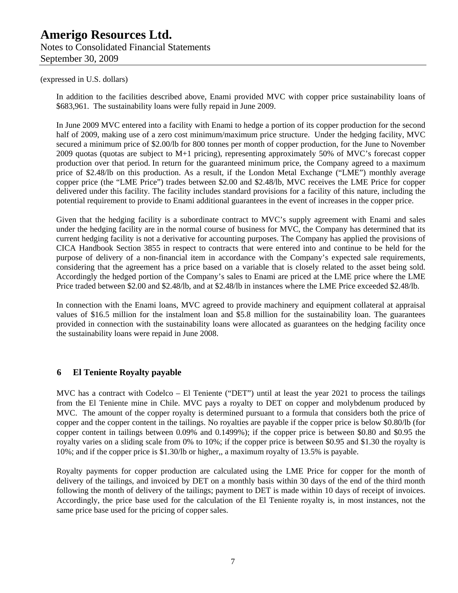# **Amerigo Resources Ltd.**  Notes to Consolidated Financial Statements September 30, 2009

#### (expressed in U.S. dollars)

In addition to the facilities described above, Enami provided MVC with copper price sustainability loans of \$683,961. The sustainability loans were fully repaid in June 2009.

In June 2009 MVC entered into a facility with Enami to hedge a portion of its copper production for the second half of 2009, making use of a zero cost minimum/maximum price structure. Under the hedging facility, MVC secured a minimum price of \$2.00/lb for 800 tonnes per month of copper production, for the June to November 2009 quotas (quotas are subject to M+1 pricing), representing approximately 50% of MVC's forecast copper production over that period. In return for the guaranteed minimum price, the Company agreed to a maximum price of \$2.48/lb on this production. As a result, if the London Metal Exchange ("LME") monthly average copper price (the "LME Price") trades between \$2.00 and \$2.48/lb, MVC receives the LME Price for copper delivered under this facility. The facility includes standard provisions for a facility of this nature, including the potential requirement to provide to Enami additional guarantees in the event of increases in the copper price.

Given that the hedging facility is a subordinate contract to MVC's supply agreement with Enami and sales under the hedging facility are in the normal course of business for MVC, the Company has determined that its current hedging facility is not a derivative for accounting purposes. The Company has applied the provisions of CICA Handbook Section 3855 in respect to contracts that were entered into and continue to be held for the purpose of delivery of a non-financial item in accordance with the Company's expected sale requirements, considering that the agreement has a price based on a variable that is closely related to the asset being sold. Accordingly the hedged portion of the Company's sales to Enami are priced at the LME price where the LME Price traded between \$2.00 and \$2.48/lb, and at \$2.48/lb in instances where the LME Price exceeded \$2.48/lb.

In connection with the Enami loans, MVC agreed to provide machinery and equipment collateral at appraisal values of \$16.5 million for the instalment loan and \$5.8 million for the sustainability loan. The guarantees provided in connection with the sustainability loans were allocated as guarantees on the hedging facility once the sustainability loans were repaid in June 2008.

### **6 El Teniente Royalty payable**

MVC has a contract with Codelco – El Teniente ("DET") until at least the year 2021 to process the tailings from the El Teniente mine in Chile. MVC pays a royalty to DET on copper and molybdenum produced by MVC. The amount of the copper royalty is determined pursuant to a formula that considers both the price of copper and the copper content in the tailings. No royalties are payable if the copper price is below \$0.80/lb (for copper content in tailings between 0.09% and 0.1499%); if the copper price is between \$0.80 and \$0.95 the royalty varies on a sliding scale from 0% to 10%; if the copper price is between \$0.95 and \$1.30 the royalty is 10%; and if the copper price is \$1.30/lb or higher,, a maximum royalty of 13.5% is payable.

Royalty payments for copper production are calculated using the LME Price for copper for the month of delivery of the tailings, and invoiced by DET on a monthly basis within 30 days of the end of the third month following the month of delivery of the tailings; payment to DET is made within 10 days of receipt of invoices. Accordingly, the price base used for the calculation of the El Teniente royalty is, in most instances, not the same price base used for the pricing of copper sales.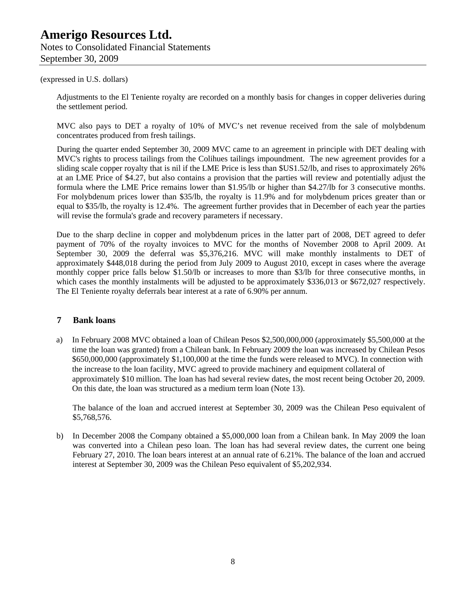Notes to Consolidated Financial Statements September 30, 2009

#### (expressed in U.S. dollars)

Adjustments to the El Teniente royalty are recorded on a monthly basis for changes in copper deliveries during the settlement period.

MVC also pays to DET a royalty of 10% of MVC's net revenue received from the sale of molybdenum concentrates produced from fresh tailings.

During the quarter ended September 30, 2009 MVC came to an agreement in principle with DET dealing with MVC's rights to process tailings from the Colihues tailings impoundment. The new agreement provides for a sliding scale copper royalty that is nil if the LME Price is less than \$US1.52/lb, and rises to approximately 26% at an LME Price of \$4.27, but also contains a provision that the parties will review and potentially adjust the formula where the LME Price remains lower than \$1.95/lb or higher than \$4.27/lb for 3 consecutive months. For molybdenum prices lower than \$35/lb, the royalty is 11.9% and for molybdenum prices greater than or equal to \$35/lb, the royalty is 12.4%. The agreement further provides that in December of each year the parties will revise the formula's grade and recovery parameters if necessary.

Due to the sharp decline in copper and molybdenum prices in the latter part of 2008, DET agreed to defer payment of 70% of the royalty invoices to MVC for the months of November 2008 to April 2009. At September 30, 2009 the deferral was \$5,376,216. MVC will make monthly instalments to DET of approximately \$448,018 during the period from July 2009 to August 2010, except in cases where the average monthly copper price falls below \$1.50/lb or increases to more than \$3/lb for three consecutive months, in which cases the monthly instalments will be adjusted to be approximately \$336,013 or \$672,027 respectively. The El Teniente royalty deferrals bear interest at a rate of 6.90% per annum.

#### **7 Bank loans**

a) In February 2008 MVC obtained a loan of Chilean Pesos \$2,500,000,000 (approximately \$5,500,000 at the time the loan was granted) from a Chilean bank. In February 2009 the loan was increased by Chilean Pesos \$650,000,000 (approximately \$1,100,000 at the time the funds were released to MVC). In connection with the increase to the loan facility, MVC agreed to provide machinery and equipment collateral of approximately \$10 million. The loan has had several review dates, the most recent being October 20, 2009. On this date, the loan was structured as a medium term loan (Note 13).

The balance of the loan and accrued interest at September 30, 2009 was the Chilean Peso equivalent of \$5,768,576.

b) In December 2008 the Company obtained a \$5,000,000 loan from a Chilean bank. In May 2009 the loan was converted into a Chilean peso loan. The loan has had several review dates, the current one being February 27, 2010. The loan bears interest at an annual rate of 6.21%. The balance of the loan and accrued interest at September 30, 2009 was the Chilean Peso equivalent of \$5,202,934.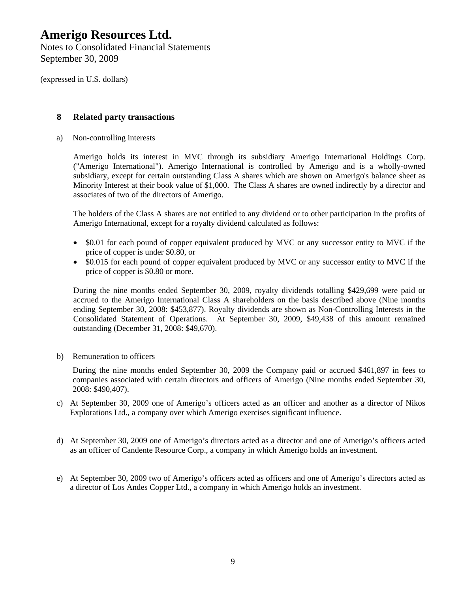(expressed in U.S. dollars)

### **8 Related party transactions**

a) Non-controlling interests

Amerigo holds its interest in MVC through its subsidiary Amerigo International Holdings Corp. ("Amerigo International"). Amerigo International is controlled by Amerigo and is a wholly-owned subsidiary, except for certain outstanding Class A shares which are shown on Amerigo's balance sheet as Minority Interest at their book value of \$1,000. The Class A shares are owned indirectly by a director and associates of two of the directors of Amerigo.

The holders of the Class A shares are not entitled to any dividend or to other participation in the profits of Amerigo International, except for a royalty dividend calculated as follows:

- \$0.01 for each pound of copper equivalent produced by MVC or any successor entity to MVC if the price of copper is under \$0.80, or
- \$0.015 for each pound of copper equivalent produced by MVC or any successor entity to MVC if the price of copper is \$0.80 or more.

During the nine months ended September 30, 2009, royalty dividends totalling \$429,699 were paid or accrued to the Amerigo International Class A shareholders on the basis described above (Nine months ending September 30, 2008: \$453,877). Royalty dividends are shown as Non-Controlling Interests in the Consolidated Statement of Operations. At September 30, 2009, \$49,438 of this amount remained outstanding (December 31, 2008: \$49,670).

b) Remuneration to officers

During the nine months ended September 30, 2009 the Company paid or accrued \$461,897 in fees to companies associated with certain directors and officers of Amerigo (Nine months ended September 30, 2008: \$490,407).

- c) At September 30, 2009 one of Amerigo's officers acted as an officer and another as a director of Nikos Explorations Ltd., a company over which Amerigo exercises significant influence.
- d) At September 30, 2009 one of Amerigo's directors acted as a director and one of Amerigo's officers acted as an officer of Candente Resource Corp., a company in which Amerigo holds an investment.
- e) At September 30, 2009 two of Amerigo's officers acted as officers and one of Amerigo's directors acted as a director of Los Andes Copper Ltd., a company in which Amerigo holds an investment.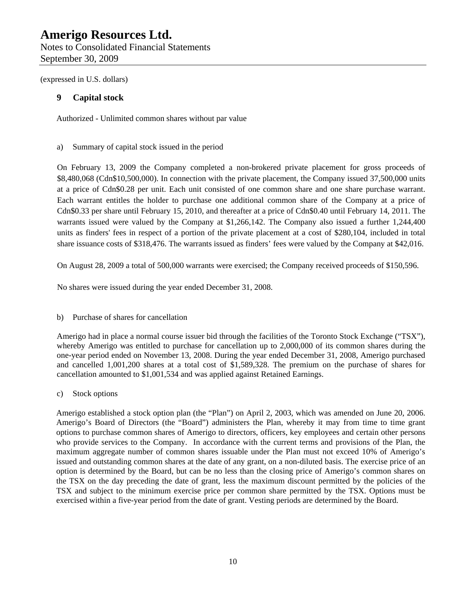(expressed in U.S. dollars)

## **9 Capital stock**

Authorized - Unlimited common shares without par value

### a) Summary of capital stock issued in the period

On February 13, 2009 the Company completed a non-brokered private placement for gross proceeds of \$8,480,068 (Cdn\$10,500,000). In connection with the private placement, the Company issued 37,500,000 units at a price of Cdn\$0.28 per unit. Each unit consisted of one common share and one share purchase warrant. Each warrant entitles the holder to purchase one additional common share of the Company at a price of Cdn\$0.33 per share until February 15, 2010, and thereafter at a price of Cdn\$0.40 until February 14, 2011. The warrants issued were valued by the Company at \$1,266,142. The Company also issued a further 1,244,400 units as finders' fees in respect of a portion of the private placement at a cost of \$280,104, included in total share issuance costs of \$318,476. The warrants issued as finders' fees were valued by the Company at \$42,016.

On August 28, 2009 a total of 500,000 warrants were exercised; the Company received proceeds of \$150,596.

No shares were issued during the year ended December 31, 2008.

### b) Purchase of shares for cancellation

Amerigo had in place a normal course issuer bid through the facilities of the Toronto Stock Exchange ("TSX"), whereby Amerigo was entitled to purchase for cancellation up to 2,000,000 of its common shares during the one-year period ended on November 13, 2008. During the year ended December 31, 2008, Amerigo purchased and cancelled 1,001,200 shares at a total cost of \$1,589,328. The premium on the purchase of shares for cancellation amounted to \$1,001,534 and was applied against Retained Earnings.

c) Stock options

Amerigo established a stock option plan (the "Plan") on April 2, 2003, which was amended on June 20, 2006. Amerigo's Board of Directors (the "Board") administers the Plan, whereby it may from time to time grant options to purchase common shares of Amerigo to directors, officers, key employees and certain other persons who provide services to the Company. In accordance with the current terms and provisions of the Plan, the maximum aggregate number of common shares issuable under the Plan must not exceed 10% of Amerigo's issued and outstanding common shares at the date of any grant, on a non-diluted basis. The exercise price of an option is determined by the Board, but can be no less than the closing price of Amerigo's common shares on the TSX on the day preceding the date of grant, less the maximum discount permitted by the policies of the TSX and subject to the minimum exercise price per common share permitted by the TSX. Options must be exercised within a five-year period from the date of grant. Vesting periods are determined by the Board.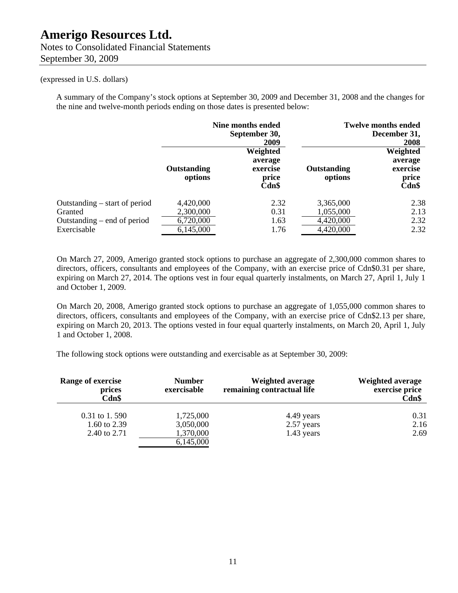## Notes to Consolidated Financial Statements September 30, 2009

#### (expressed in U.S. dollars)

A summary of the Company's stock options at September 30, 2009 and December 31, 2008 and the changes for the nine and twelve-month periods ending on those dates is presented below:

|                                                                                          |                                                  | Nine months ended<br>September 30,<br>2009        |                                                  | <b>Twelve months ended</b><br>December 31,<br>2008 |
|------------------------------------------------------------------------------------------|--------------------------------------------------|---------------------------------------------------|--------------------------------------------------|----------------------------------------------------|
|                                                                                          | Outstanding<br>options                           | Weighted<br>average<br>exercise<br>price<br>Cdn\$ | Outstanding<br>options                           | Weighted<br>average<br>exercise<br>price<br>Cdn\$  |
| Outstanding $-$ start of period<br>Granted<br>Outstanding – end of period<br>Exercisable | 4,420,000<br>2,300,000<br>6,720,000<br>6,145,000 | 2.32<br>0.31<br>1.63<br>1.76                      | 3,365,000<br>1,055,000<br>4,420,000<br>4,420,000 | 2.38<br>2.13<br>2.32<br>2.32                       |

On March 27, 2009, Amerigo granted stock options to purchase an aggregate of 2,300,000 common shares to directors, officers, consultants and employees of the Company, with an exercise price of Cdn\$0.31 per share, expiring on March 27, 2014. The options vest in four equal quarterly instalments, on March 27, April 1, July 1 and October 1, 2009.

On March 20, 2008, Amerigo granted stock options to purchase an aggregate of 1,055,000 common shares to directors, officers, consultants and employees of the Company, with an exercise price of Cdn\$2.13 per share, expiring on March 20, 2013. The options vested in four equal quarterly instalments, on March 20, April 1, July 1 and October 1, 2008.

The following stock options were outstanding and exercisable as at September 30, 2009:

| Range of exercise<br>prices<br>Cdn\$ | <b>Number</b><br>exercisable | <b>Weighted average</b><br>remaining contractual life | <b>Weighted average</b><br>exercise price<br>$Cdn$ \$ |
|--------------------------------------|------------------------------|-------------------------------------------------------|-------------------------------------------------------|
| 0.31 to 1.590                        | 1,725,000                    | 4.49 years                                            | 0.31                                                  |
| 1.60 to 2.39                         | 3,050,000                    | 2.57 years                                            | 2.16                                                  |
| 2.40 to 2.71                         | 1,370,000                    | $1.43$ years                                          | 2.69                                                  |
|                                      | 6,145,000                    |                                                       |                                                       |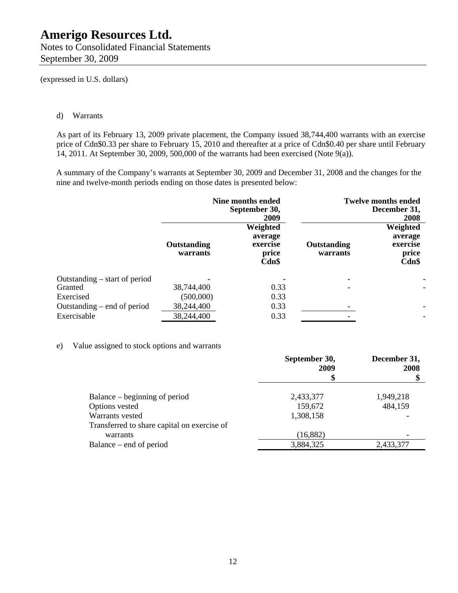(expressed in U.S. dollars)

#### d) Warrants

As part of its February 13, 2009 private placement, the Company issued 38,744,400 warrants with an exercise price of Cdn\$0.33 per share to February 15, 2010 and thereafter at a price of Cdn\$0.40 per share until February 14, 2011. At September 30, 2009, 500,000 of the warrants had been exercised (Note 9(a)).

A summary of the Company's warrants at September 30, 2009 and December 31, 2008 and the changes for the nine and twelve-month periods ending on those dates is presented below:

|                                 | <b>Nine months ended</b><br>September 30,<br>2009 |                                                   | <b>Twelve months ended</b><br>December 31,<br>2008 |                                                      |
|---------------------------------|---------------------------------------------------|---------------------------------------------------|----------------------------------------------------|------------------------------------------------------|
|                                 | <b>Outstanding</b><br>warrants                    | Weighted<br>average<br>exercise<br>price<br>Cdn\$ | Outstanding<br>warrants                            | Weighted<br>average<br>exercise<br>price<br>$Cdn$ \$ |
| Outstanding $-$ start of period |                                                   |                                                   |                                                    | ۰                                                    |
| Granted                         | 38,744,400                                        | 0.33                                              |                                                    |                                                      |
| Exercised                       | (500,000)                                         | 0.33                                              |                                                    |                                                      |
| Outstanding – end of period     | 38,244,400                                        | 0.33                                              |                                                    | ÷,                                                   |
| Exercisable                     | 38,244,400                                        | 0.33                                              |                                                    | ٠                                                    |

#### e) Value assigned to stock options and warrants

|                                             | September 30,<br>2009 | December 31,<br>2008 |
|---------------------------------------------|-----------------------|----------------------|
|                                             | \$                    |                      |
| Balance – beginning of period               | 2,433,377             | 1,949,218            |
| Options vested                              | 159,672               | 484,159              |
| Warrants vested                             | 1,308,158             |                      |
| Transferred to share capital on exercise of |                       |                      |
| warrants                                    | (16, 882)             |                      |
| Balance – end of period                     | 3,884,325             | 2,433,377            |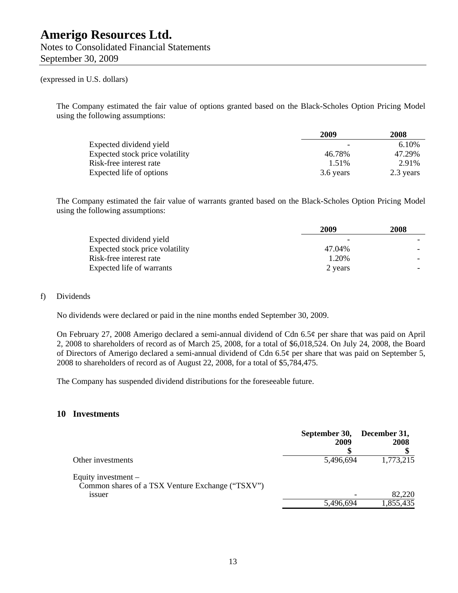Notes to Consolidated Financial Statements September 30, 2009

#### (expressed in U.S. dollars)

The Company estimated the fair value of options granted based on the Black-Scholes Option Pricing Model using the following assumptions:

|                                 | 2009      | 2008      |
|---------------------------------|-----------|-----------|
| Expected dividend yield         |           | 6.10%     |
| Expected stock price volatility | 46.78%    | 47.29%    |
| Risk-free interest rate         | 1.51%     | 2.91%     |
| Expected life of options        | 3.6 years | 2.3 years |

The Company estimated the fair value of warrants granted based on the Black-Scholes Option Pricing Model using the following assumptions:

|                                 | 2009    | 2008 |
|---------------------------------|---------|------|
| Expected dividend yield         |         |      |
| Expected stock price volatility | 47.04%  |      |
| Risk-free interest rate         | 1.20%   |      |
| Expected life of warrants       | 2 years |      |

#### f) Dividends

No dividends were declared or paid in the nine months ended September 30, 2009.

On February 27, 2008 Amerigo declared a semi-annual dividend of Cdn 6.5¢ per share that was paid on April 2, 2008 to shareholders of record as of March 25, 2008, for a total of \$6,018,524. On July 24, 2008, the Board of Directors of Amerigo declared a semi-annual dividend of Cdn 6.5¢ per share that was paid on September 5, 2008 to shareholders of record as of August 22, 2008, for a total of \$5,784,475.

The Company has suspended dividend distributions for the foreseeable future.

#### **10 Investments**

|                                                                                           | September 30, December 31,<br>2009 | 2008      |
|-------------------------------------------------------------------------------------------|------------------------------------|-----------|
| Other investments                                                                         | 5,496,694                          | 1,773,215 |
| Equity investment $-$<br>Common shares of a TSX Venture Exchange ("TSXV")<br><i>ssuer</i> |                                    | 82,220    |
|                                                                                           | 5,496,694                          | 1,855,435 |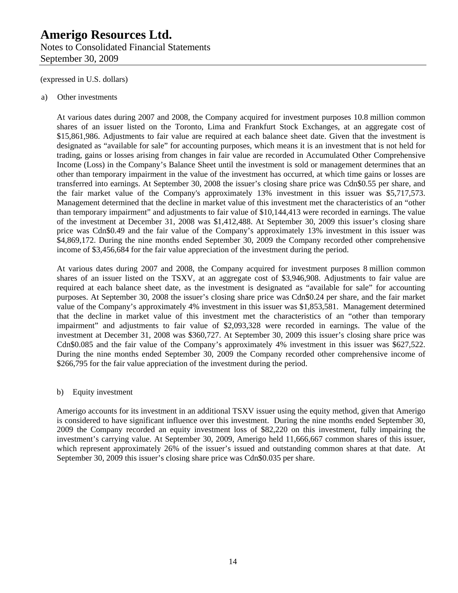### Notes to Consolidated Financial Statements September 30, 2009

(expressed in U.S. dollars)

#### a) Other investments

At various dates during 2007 and 2008, the Company acquired for investment purposes 10.8 million common shares of an issuer listed on the Toronto, Lima and Frankfurt Stock Exchanges, at an aggregate cost of \$15,861,986. Adjustments to fair value are required at each balance sheet date. Given that the investment is designated as "available for sale" for accounting purposes, which means it is an investment that is not held for trading, gains or losses arising from changes in fair value are recorded in Accumulated Other Comprehensive Income (Loss) in the Company's Balance Sheet until the investment is sold or management determines that an other than temporary impairment in the value of the investment has occurred, at which time gains or losses are transferred into earnings. At September 30, 2008 the issuer's closing share price was Cdn\$0.55 per share, and the fair market value of the Company's approximately 13% investment in this issuer was \$5,717,573. Management determined that the decline in market value of this investment met the characteristics of an "other than temporary impairment" and adjustments to fair value of \$10,144,413 were recorded in earnings. The value of the investment at December 31, 2008 was \$1,412,488. At September 30, 2009 this issuer's closing share price was Cdn\$0.49 and the fair value of the Company's approximately 13% investment in this issuer was \$4,869,172. During the nine months ended September 30, 2009 the Company recorded other comprehensive income of \$3,456,684 for the fair value appreciation of the investment during the period.

At various dates during 2007 and 2008, the Company acquired for investment purposes 8 million common shares of an issuer listed on the TSXV, at an aggregate cost of \$3,946,908. Adjustments to fair value are required at each balance sheet date, as the investment is designated as "available for sale" for accounting purposes. At September 30, 2008 the issuer's closing share price was Cdn\$0.24 per share, and the fair market value of the Company's approximately 4% investment in this issuer was \$1,853,581. Management determined that the decline in market value of this investment met the characteristics of an "other than temporary impairment" and adjustments to fair value of \$2,093,328 were recorded in earnings. The value of the investment at December 31, 2008 was \$360,727. At September 30, 2009 this issuer's closing share price was Cdn\$0.085 and the fair value of the Company's approximately 4% investment in this issuer was \$627,522. During the nine months ended September 30, 2009 the Company recorded other comprehensive income of \$266,795 for the fair value appreciation of the investment during the period.

#### b) Equity investment

Amerigo accounts for its investment in an additional TSXV issuer using the equity method, given that Amerigo is considered to have significant influence over this investment. During the nine months ended September 30, 2009 the Company recorded an equity investment loss of \$82,220 on this investment, fully impairing the investment's carrying value. At September 30, 2009, Amerigo held 11,666,667 common shares of this issuer, which represent approximately 26% of the issuer's issued and outstanding common shares at that date. At September 30, 2009 this issuer's closing share price was Cdn\$0.035 per share.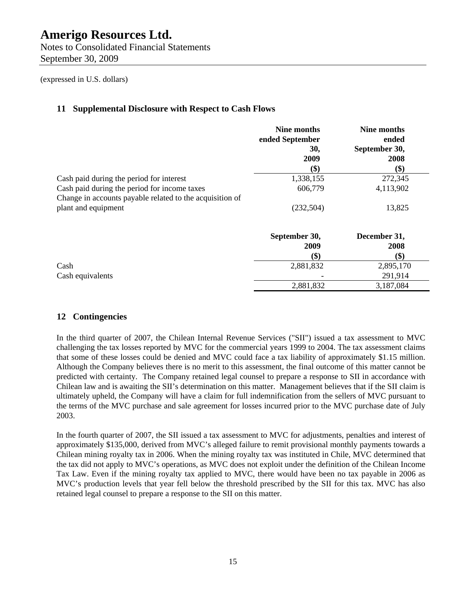Notes to Consolidated Financial Statements September 30, 2009

(expressed in U.S. dollars)

### **11 Supplemental Disclosure with Respect to Cash Flows**

|                                                          | Nine months<br>ended September<br>30, | Nine months<br>ended<br>September 30, |
|----------------------------------------------------------|---------------------------------------|---------------------------------------|
|                                                          | 2009                                  | 2008                                  |
|                                                          | \$)                                   | \$)                                   |
| Cash paid during the period for interest                 | 1,338,155                             | 272,345                               |
| Cash paid during the period for income taxes             | 606,779                               | 4,113,902                             |
| Change in accounts payable related to the acquisition of |                                       |                                       |
| plant and equipment                                      | (232,504)                             | 13,825                                |
|                                                          | September 30,                         | December 31,                          |
|                                                          | 2009                                  | 2008                                  |
|                                                          | \$)                                   | \$)                                   |
| Cash                                                     | 2,881,832                             | 2,895,170                             |
| Cash equivalents                                         |                                       | 291,914                               |
|                                                          | 2,881,832                             | 3,187,084                             |

### **12 Contingencies**

In the third quarter of 2007, the Chilean Internal Revenue Services ("SII") issued a tax assessment to MVC challenging the tax losses reported by MVC for the commercial years 1999 to 2004. The tax assessment claims that some of these losses could be denied and MVC could face a tax liability of approximately \$1.15 million. Although the Company believes there is no merit to this assessment, the final outcome of this matter cannot be predicted with certainty. The Company retained legal counsel to prepare a response to SII in accordance with Chilean law and is awaiting the SII's determination on this matter. Management believes that if the SII claim is ultimately upheld, the Company will have a claim for full indemnification from the sellers of MVC pursuant to the terms of the MVC purchase and sale agreement for losses incurred prior to the MVC purchase date of July 2003.

In the fourth quarter of 2007, the SII issued a tax assessment to MVC for adjustments, penalties and interest of approximately \$135,000, derived from MVC's alleged failure to remit provisional monthly payments towards a Chilean mining royalty tax in 2006. When the mining royalty tax was instituted in Chile, MVC determined that the tax did not apply to MVC's operations, as MVC does not exploit under the definition of the Chilean Income Tax Law. Even if the mining royalty tax applied to MVC, there would have been no tax payable in 2006 as MVC's production levels that year fell below the threshold prescribed by the SII for this tax. MVC has also retained legal counsel to prepare a response to the SII on this matter.